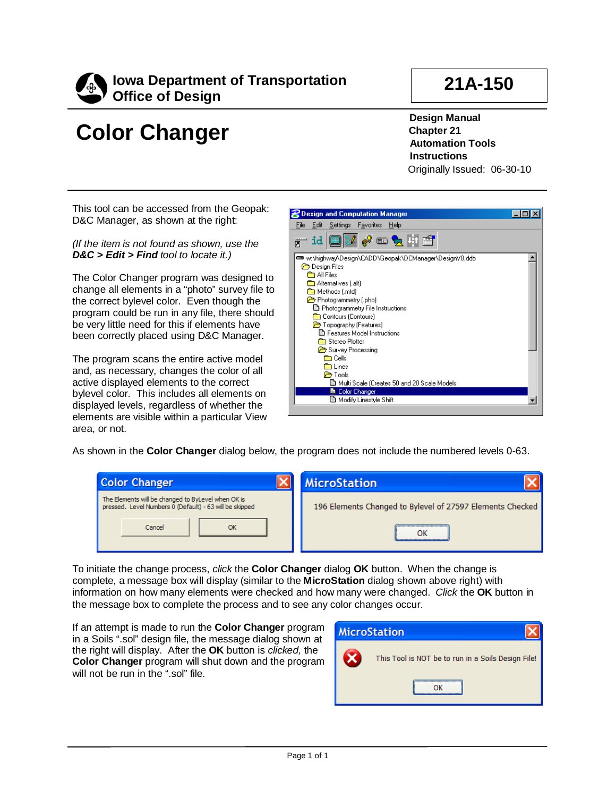

## **Color Changer**

**21A-150**

**Design Manual Chapter 21 Automation Tools Instructions** Originally Issued: 06-30-10

This tool can be accessed from the Geopak: D&C Manager, as shown at the right:

*(If the item is not found as shown, use the D&C > Edit > Find tool to locate it.)*

The Color Changer program was designed to change all elements in a "photo" survey file to the correct bylevel color. Even though the program could be run in any file, there should be very little need for this if elements have been correctly placed using D&C Manager.

The program scans the entire active model and, as necessary, changes the color of all active displayed elements to the correct bylevel color. This includes all elements on displayed levels, regardless of whether the elements are visible within a particular View area, or not.



As shown in the **Color Changer** dialog below, the program does not include the numbered levels 0-63.

| <b>Color Changer</b>                                                                                          | <b>MicroStation</b>                                       |
|---------------------------------------------------------------------------------------------------------------|-----------------------------------------------------------|
| The Elements will be changed to ByLevel when OK is<br>pressed. Level Numbers 0 (Default) - 63 will be skipped | 196 Elements Changed to Bylevel of 27597 Elements Checked |
| Cancel                                                                                                        |                                                           |

To initiate the change process, *click* the **Color Changer** dialog **OK** button. When the change is complete, a message box will display (similar to the **MicroStation** dialog shown above right) with information on how many elements were checked and how many were changed. *Click* the **OK** button in the message box to complete the process and to see any color changes occur.

If an attempt is made to run the **Color Changer** program in a Soils ".sol" design file, the message dialog shown at the right will display. After the **OK** button is *clicked,* the **Color Changer** program will shut down and the program will not be run in the ".sol" file.

|   | <b>MicroStation</b>                                |
|---|----------------------------------------------------|
| х | This Tool is NOT be to run in a Soils Design File! |
|   |                                                    |